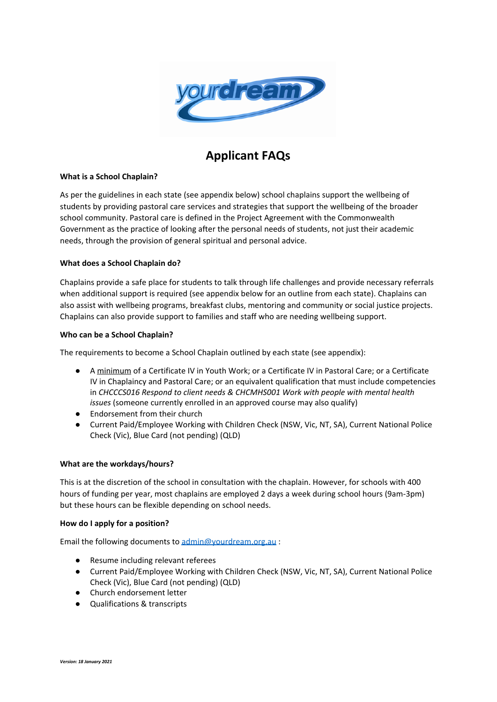

# **Applicant FAQs**

#### **What is a School Chaplain?**

As per the guidelines in each state (see appendix below) school chaplains support the wellbeing of students by providing pastoral care services and strategies that support the wellbeing of the broader school community. Pastoral care is defined in the Project Agreement with the Commonwealth Government as the practice of looking after the personal needs of students, not just their academic needs, through the provision of general spiritual and personal advice.

# **What does a School Chaplain do?**

Chaplains provide a safe place for students to talk through life challenges and provide necessary referrals when additional support is required (see appendix below for an outline from each state). Chaplains can also assist with wellbeing programs, breakfast clubs, mentoring and community or social justice projects. Chaplains can also provide support to families and staff who are needing wellbeing support.

#### **Who can be a School Chaplain?**

The requirements to become a School Chaplain outlined by each state (see appendix):

- *●* A minimum of a Certificate IV in Youth Work; or a Certificate IV in Pastoral Care; or a Certificate IV in Chaplaincy and Pastoral Care; or an equivalent qualification that must include competencies in *CHCCCS016 Respond to client needs & CHCMHS001 Work with people with mental health issues* (someone currently enrolled in an approved course may also qualify)
- Endorsement from their church
- Current Paid/Employee Working with Children Check (NSW, Vic, NT, SA), Current National Police Check (Vic), Blue Card (not pending) (QLD)

#### **What are the workdays/hours?**

This is at the discretion of the school in consultation with the chaplain. However, for schools with 400 hours of funding per year, most chaplains are employed 2 days a week during school hours (9am-3pm) but these hours can be flexible depending on school needs.

#### **How do I apply for a position?**

Email the following documents to [admin@yourdream.org.au](mailto:admin@yourdream.org.au) :

- Resume including relevant referees
- Current Paid/Employee Working with Children Check (NSW, Vic, NT, SA), Current National Police Check (Vic), Blue Card (not pending) (QLD)
- Church endorsement letter
- Qualifications & transcripts